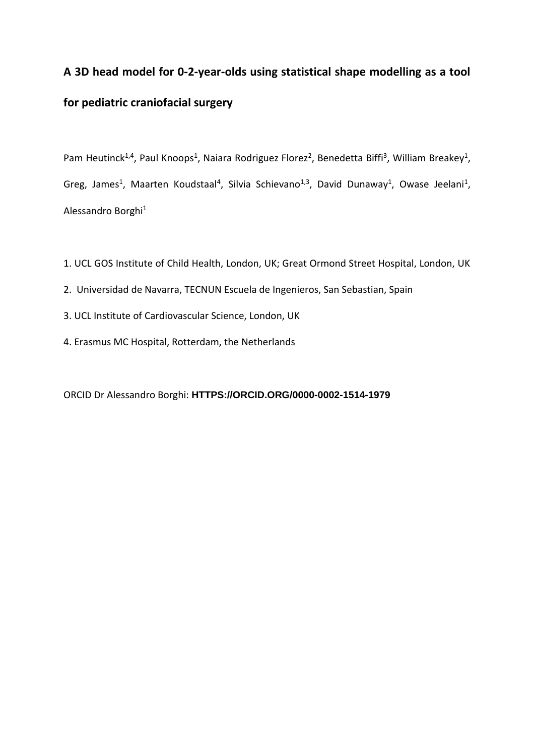# **A 3D head model for 0-2-year-olds using statistical shape modelling as a tool for pediatric craniofacial surgery**

Pam Heutinck<sup>1,4</sup>, Paul Knoops<sup>1</sup>, Naiara Rodriguez Florez<sup>2</sup>, Benedetta Biffi<sup>3</sup>, William Breakey<sup>1</sup>, Greg, James<sup>1</sup>, Maarten Koudstaal<sup>4</sup>, Silvia Schievano<sup>1,3</sup>, David Dunaway<sup>1</sup>, Owase Jeelani<sup>1</sup>, Alessandro Borghi<sup>1</sup>

- 1. UCL GOS Institute of Child Health, London, UK; Great Ormond Street Hospital, London, UK
- 2. Universidad de Navarra, TECNUN Escuela de Ingenieros, San Sebastian, Spain
- 3. UCL Institute of Cardiovascular Science, London, UK
- 4. Erasmus MC Hospital, Rotterdam, the Netherlands

ORCID Dr Alessandro Borghi: **[HTTPS://ORCID.ORG/0000-0002-1514-1979](https://orcid.org/0000-0002-1514-1979)**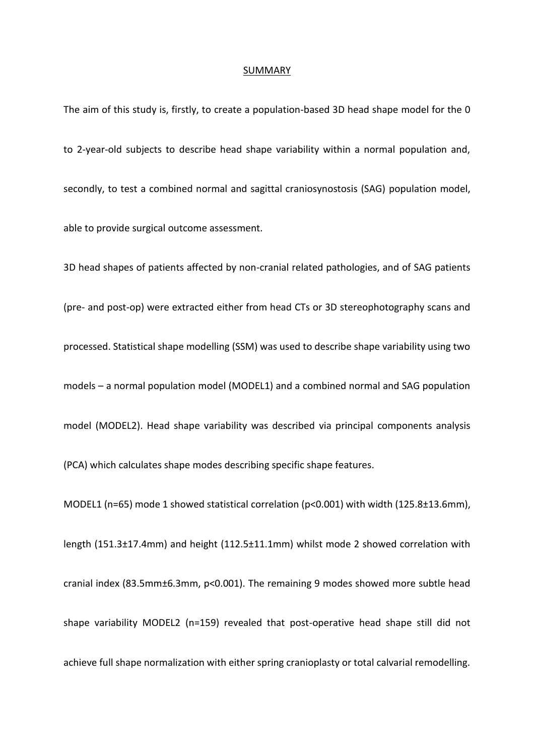#### SUMMARY

The aim of this study is, firstly, to create a population-based 3D head shape model for the 0 to 2-year-old subjects to describe head shape variability within a normal population and, secondly, to test a combined normal and sagittal craniosynostosis (SAG) population model, able to provide surgical outcome assessment.

3D head shapes of patients affected by non-cranial related pathologies, and of SAG patients (pre- and post-op) were extracted either from head CTs or 3D stereophotography scans and processed. Statistical shape modelling (SSM) was used to describe shape variability using two models – a normal population model (MODEL1) and a combined normal and SAG population model (MODEL2). Head shape variability was described via principal components analysis

(PCA) which calculates shape modes describing specific shape features.

MODEL1 (n=65) mode 1 showed statistical correlation (p<0.001) with width (125.8±13.6mm), length (151.3±17.4mm) and height (112.5±11.1mm) whilst mode 2 showed correlation with cranial index (83.5mm±6.3mm, p<0.001). The remaining 9 modes showed more subtle head shape variability MODEL2 (n=159) revealed that post-operative head shape still did not achieve full shape normalization with either spring cranioplasty or total calvarial remodelling.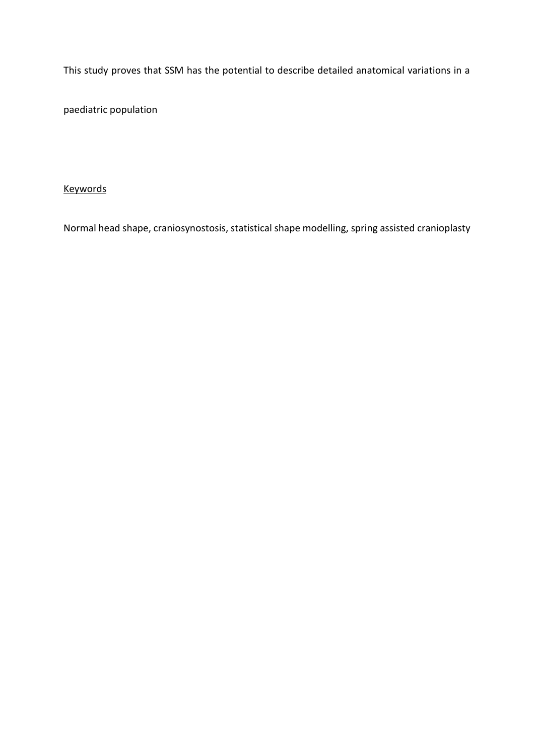This study proves that SSM has the potential to describe detailed anatomical variations in a

paediatric population

# Keywords

Normal head shape, craniosynostosis, statistical shape modelling, spring assisted cranioplasty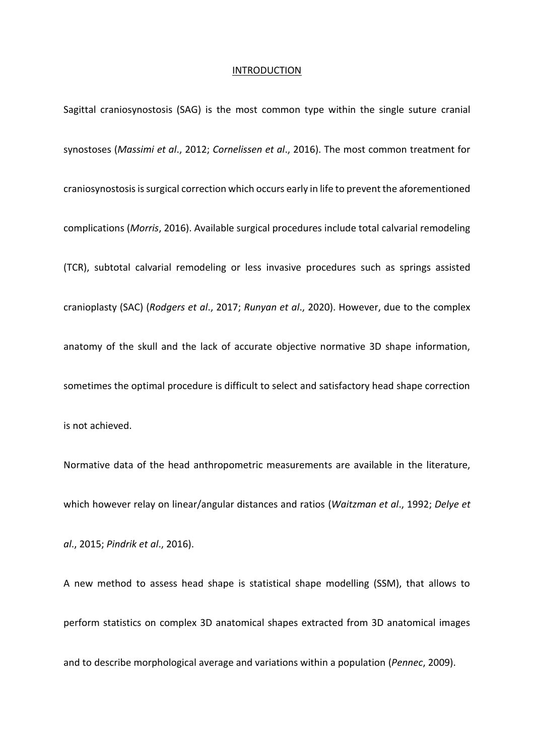#### **INTRODUCTION**

Sagittal craniosynostosis (SAG) is the most common type within the single suture cranial synostoses (*Massimi et al*., 2012; *Cornelissen et al*., 2016). The most common treatment for craniosynostosis is surgical correction which occurs early in life to prevent the aforementioned complications (*Morris*, 2016). Available surgical procedures include total calvarial remodeling (TCR), subtotal calvarial remodeling or less invasive procedures such as springs assisted cranioplasty (SAC) (*Rodgers et al*., 2017; *Runyan et al*., 2020). However, due to the complex anatomy of the skull and the lack of accurate objective normative 3D shape information, sometimes the optimal procedure is difficult to select and satisfactory head shape correction is not achieved.

Normative data of the head anthropometric measurements are available in the literature, which however relay on linear/angular distances and ratios (*Waitzman et al*., 1992; *Delye et al*., 2015; *Pindrik et al*., 2016).

A new method to assess head shape is statistical shape modelling (SSM), that allows to perform statistics on complex 3D anatomical shapes extracted from 3D anatomical images and to describe morphological average and variations within a population (*Pennec*, 2009).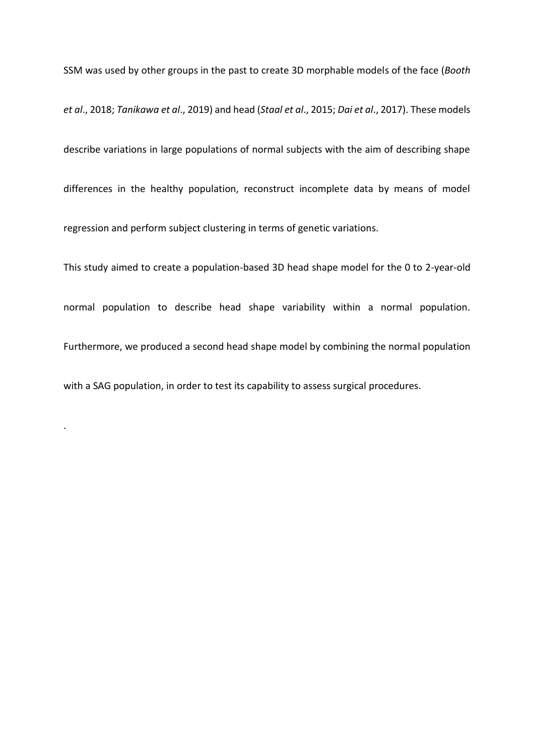SSM was used by other groups in the past to create 3D morphable models of the face (*Booth et al*., 2018; *Tanikawa et al*., 2019) and head (*Staal et al*., 2015; *Dai et al*., 2017). These models describe variations in large populations of normal subjects with the aim of describing shape differences in the healthy population, reconstruct incomplete data by means of model regression and perform subject clustering in terms of genetic variations.

This study aimed to create a population-based 3D head shape model for the 0 to 2-year-old normal population to describe head shape variability within a normal population. Furthermore, we produced a second head shape model by combining the normal population with a SAG population, in order to test its capability to assess surgical procedures.

.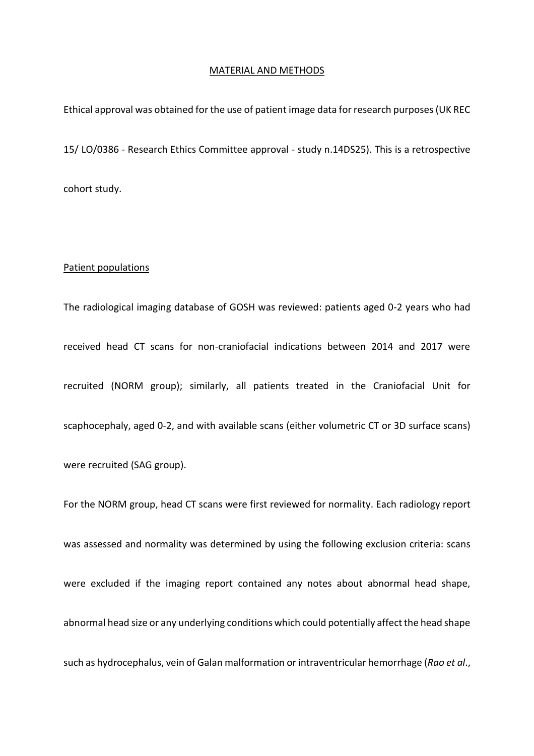#### MATERIAL AND METHODS

Ethical approval was obtained for the use of patient image data for research purposes (UK REC 15/ LO/0386 - Research Ethics Committee approval - study n.14DS25). This is a retrospective cohort study.

#### Patient populations

The radiological imaging database of GOSH was reviewed: patients aged 0-2 years who had received head CT scans for non-craniofacial indications between 2014 and 2017 were recruited (NORM group); similarly, all patients treated in the Craniofacial Unit for scaphocephaly, aged 0-2, and with available scans (either volumetric CT or 3D surface scans)

were recruited (SAG group).

For the NORM group, head CT scans were first reviewed for normality. Each radiology report was assessed and normality was determined by using the following exclusion criteria: scans were excluded if the imaging report contained any notes about abnormal head shape, abnormal head size or any underlying conditions which could potentially affect the head shape such as hydrocephalus, vein of Galan malformation or intraventricular hemorrhage (*Rao et al*.,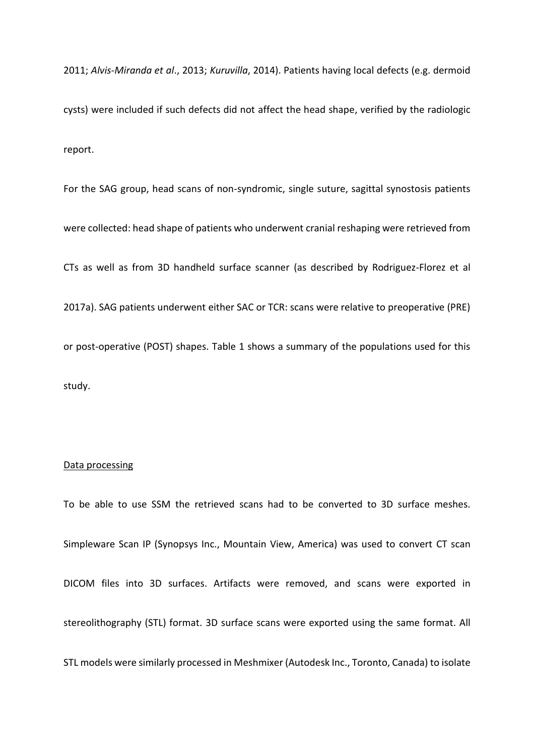2011; *Alvis-Miranda et al*., 2013; *Kuruvilla*, 2014). Patients having local defects (e.g. dermoid cysts) were included if such defects did not affect the head shape, verified by the radiologic report.

For the SAG group, head scans of non-syndromic, single suture, sagittal synostosis patients were collected: head shape of patients who underwent cranial reshaping were retrieved from CTs as well as from 3D handheld surface scanner (as described by Rodriguez-Florez et al 2017a). SAG patients underwent either SAC or TCR: scans were relative to preoperative (PRE) or post-operative (POST) shapes. Table 1 shows a summary of the populations used for this study.

#### Data processing

To be able to use SSM the retrieved scans had to be converted to 3D surface meshes. Simpleware Scan IP (Synopsys Inc., Mountain View, America) was used to convert CT scan DICOM files into 3D surfaces. Artifacts were removed, and scans were exported in stereolithography (STL) format. 3D surface scans were exported using the same format. All STL models were similarly processed in Meshmixer (Autodesk Inc., Toronto, Canada) to isolate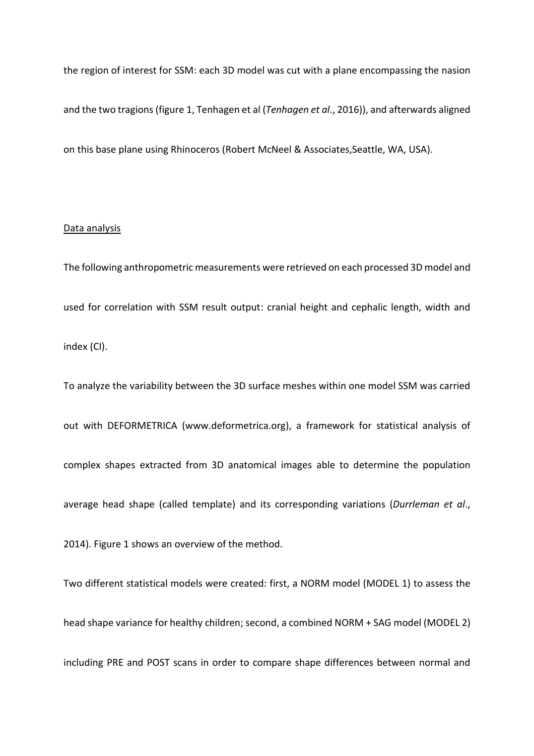the region of interest for SSM: each 3D model was cut with a plane encompassing the nasion and the two tragions (figure 1, Tenhagen et al (*Tenhagen et al*., 2016)), and afterwards aligned on this base plane using Rhinoceros (Robert McNeel & Associates,Seattle, WA, USA).

# Data analysis

The following anthropometric measurements were retrieved on each processed 3D model and used for correlation with SSM result output: cranial height and cephalic length, width and index (CI).

To analyze the variability between the 3D surface meshes within one model SSM was carried out with DEFORMETRICA (www.deformetrica.org), a framework for statistical analysis of complex shapes extracted from 3D anatomical images able to determine the population average head shape (called template) and its corresponding variations (*Durrleman et al*.,

2014). Figure 1 shows an overview of the method.

Two different statistical models were created: first, a NORM model (MODEL 1) to assess the head shape variance for healthy children; second, a combined NORM + SAG model (MODEL 2) including PRE and POST scans in order to compare shape differences between normal and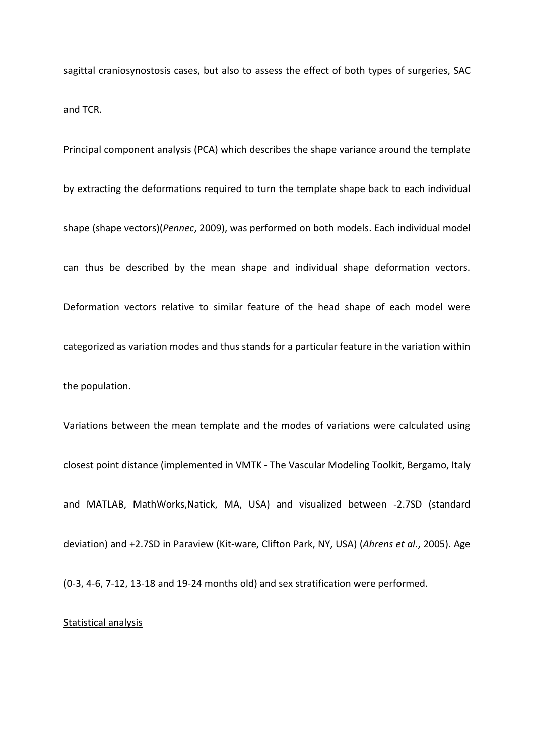sagittal craniosynostosis cases, but also to assess the effect of both types of surgeries, SAC and TCR.

Principal component analysis (PCA) which describes the shape variance around the template by extracting the deformations required to turn the template shape back to each individual shape (shape vectors)(*Pennec*, 2009), was performed on both models. Each individual model can thus be described by the mean shape and individual shape deformation vectors. Deformation vectors relative to similar feature of the head shape of each model were categorized as variation modes and thus stands for a particular feature in the variation within the population.

Variations between the mean template and the modes of variations were calculated using closest point distance (implemented in VMTK - The Vascular Modeling Toolkit, Bergamo, Italy and MATLAB, MathWorks,Natick, MA, USA) and visualized between -2.7SD (standard deviation) and +2.7SD in Paraview (Kit-ware, Clifton Park, NY, USA) (*Ahrens et al*., 2005). Age

(0-3, 4-6, 7-12, 13-18 and 19-24 months old) and sex stratification were performed.

# Statistical analysis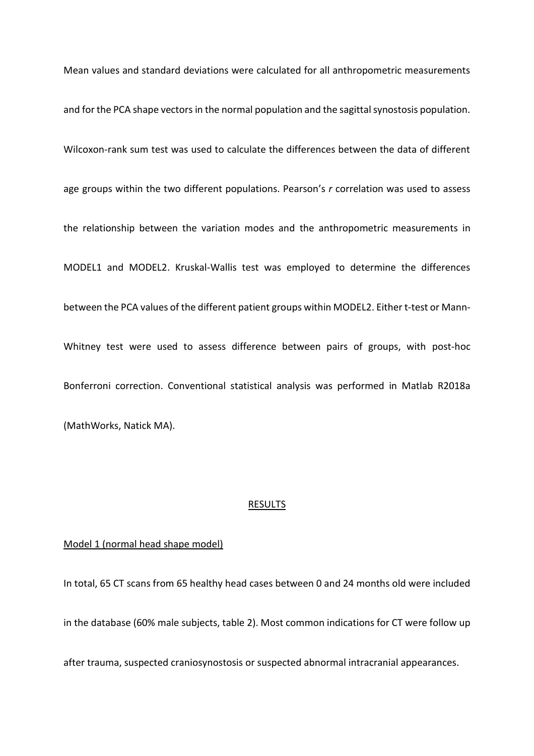Mean values and standard deviations were calculated for all anthropometric measurements and for the PCA shape vectors in the normal population and the sagittal synostosis population. Wilcoxon-rank sum test was used to calculate the differences between the data of different age groups within the two different populations. Pearson's *r* correlation was used to assess the relationship between the variation modes and the anthropometric measurements in MODEL1 and MODEL2. Kruskal-Wallis test was employed to determine the differences between the PCA values of the different patient groups within MODEL2. Either t-test or Mann-Whitney test were used to assess difference between pairs of groups, with post-hoc Bonferroni correction. Conventional statistical analysis was performed in Matlab R2018a (MathWorks, Natick MA).

#### RESULTS

### Model 1 (normal head shape model)

In total, 65 CT scans from 65 healthy head cases between 0 and 24 months old were included in the database (60% male subjects, table 2). Most common indications for CT were follow up

after trauma, suspected craniosynostosis or suspected abnormal intracranial appearances.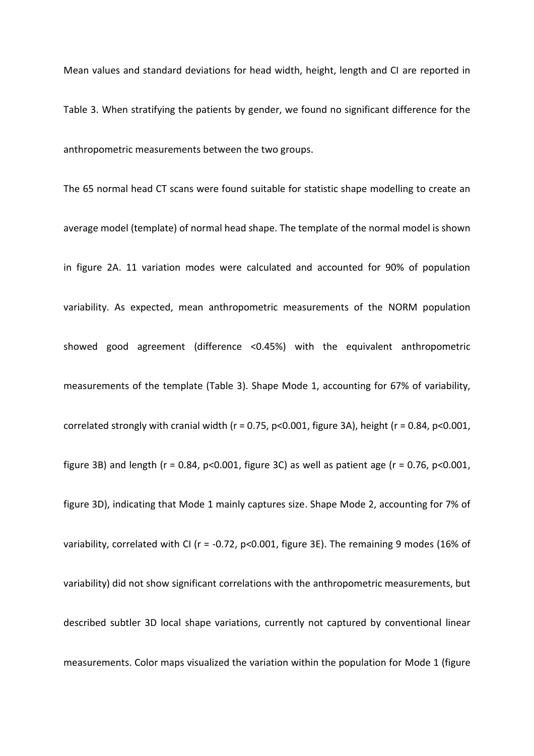Mean values and standard deviations for head width, height, length and CI are reported in

Table 3. When stratifying the patients by gender, we found no significant difference for the anthropometric measurements between the two groups.

The 65 normal head CT scans were found suitable for statistic shape modelling to create an average model (template) of normal head shape. The template of the normal model is shown in figure 2A. 11 variation modes were calculated and accounted for 90% of population variability. As expected, mean anthropometric measurements of the NORM population showed good agreement (difference <0.45%) with the equivalent anthropometric measurements of the template (Table 3). Shape Mode 1, accounting for 67% of variability, correlated strongly with cranial width ( $r = 0.75$ ,  $p < 0.001$ , figure 3A), height ( $r = 0.84$ ,  $p < 0.001$ , figure 3B) and length ( $r = 0.84$ ,  $p < 0.001$ , figure 3C) as well as patient age ( $r = 0.76$ ,  $p < 0.001$ , figure 3D), indicating that Mode 1 mainly captures size. Shape Mode 2, accounting for 7% of variability, correlated with CI ( $r = -0.72$ ,  $p < 0.001$ , figure 3E). The remaining 9 modes (16% of variability) did not show significant correlations with the anthropometric measurements, but described subtler 3D local shape variations, currently not captured by conventional linear measurements. Color maps visualized the variation within the population for Mode 1 (figure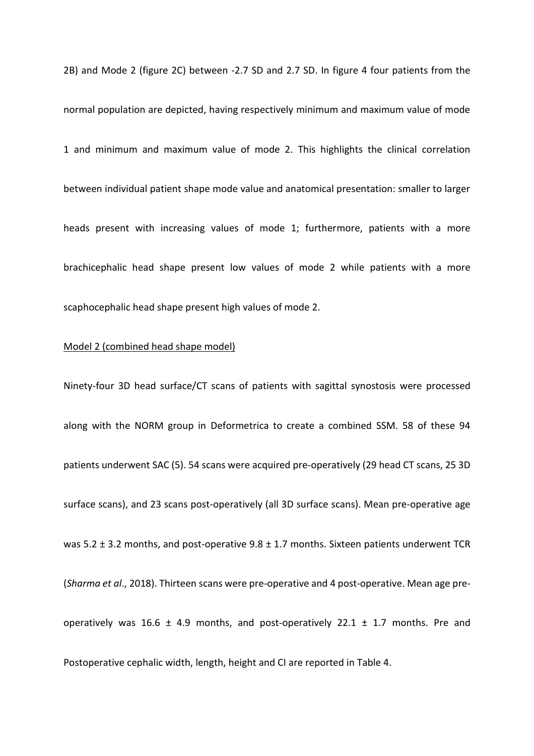2B) and Mode 2 (figure 2C) between -2.7 SD and 2.7 SD. In figure 4 four patients from the normal population are depicted, having respectively minimum and maximum value of mode 1 and minimum and maximum value of mode 2. This highlights the clinical correlation between individual patient shape mode value and anatomical presentation: smaller to larger heads present with increasing values of mode 1; furthermore, patients with a more brachicephalic head shape present low values of mode 2 while patients with a more scaphocephalic head shape present high values of mode 2.

## Model 2 (combined head shape model)

Ninety-four 3D head surface/CT scans of patients with sagittal synostosis were processed along with the NORM group in Deformetrica to create a combined SSM. 58 of these 94 patients underwent SAC (5). 54 scans were acquired pre-operatively (29 head CT scans, 25 3D surface scans), and 23 scans post-operatively (all 3D surface scans). Mean pre-operative age was 5.2  $\pm$  3.2 months, and post-operative 9.8  $\pm$  1.7 months. Sixteen patients underwent TCR (*Sharma et al*., 2018). Thirteen scans were pre-operative and 4 post-operative. Mean age preoperatively was 16.6 ± 4.9 months, and post-operatively 22.1 ± 1.7 months. Pre and Postoperative cephalic width, length, height and CI are reported in Table 4.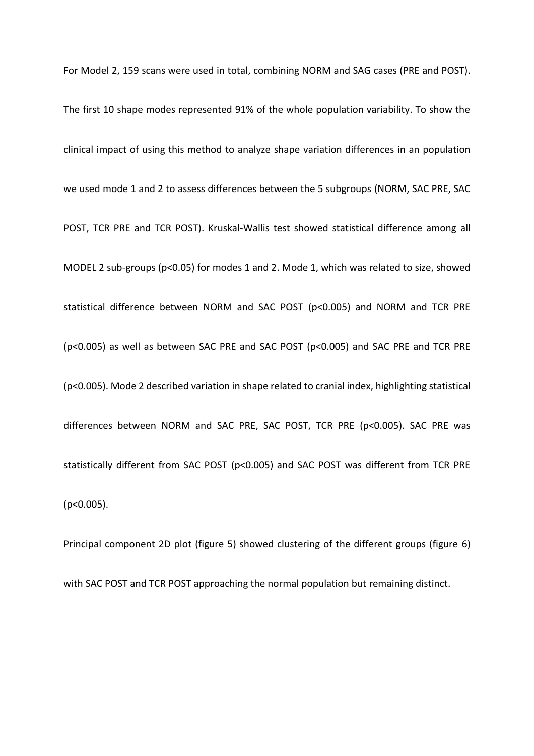For Model 2, 159 scans were used in total, combining NORM and SAG cases (PRE and POST).

The first 10 shape modes represented 91% of the whole population variability. To show the clinical impact of using this method to analyze shape variation differences in an population we used mode 1 and 2 to assess differences between the 5 subgroups (NORM, SAC PRE, SAC POST, TCR PRE and TCR POST). Kruskal-Wallis test showed statistical difference among all MODEL 2 sub-groups (p<0.05) for modes 1 and 2. Mode 1, which was related to size, showed statistical difference between NORM and SAC POST (p<0.005) and NORM and TCR PRE (p<0.005) as well as between SAC PRE and SAC POST (p<0.005) and SAC PRE and TCR PRE (p<0.005). Mode 2 described variation in shape related to cranial index, highlighting statistical differences between NORM and SAC PRE, SAC POST, TCR PRE (p<0.005). SAC PRE was statistically different from SAC POST (p<0.005) and SAC POST was different from TCR PRE (p<0.005).

Principal component 2D plot (figure 5) showed clustering of the different groups (figure 6) with SAC POST and TCR POST approaching the normal population but remaining distinct.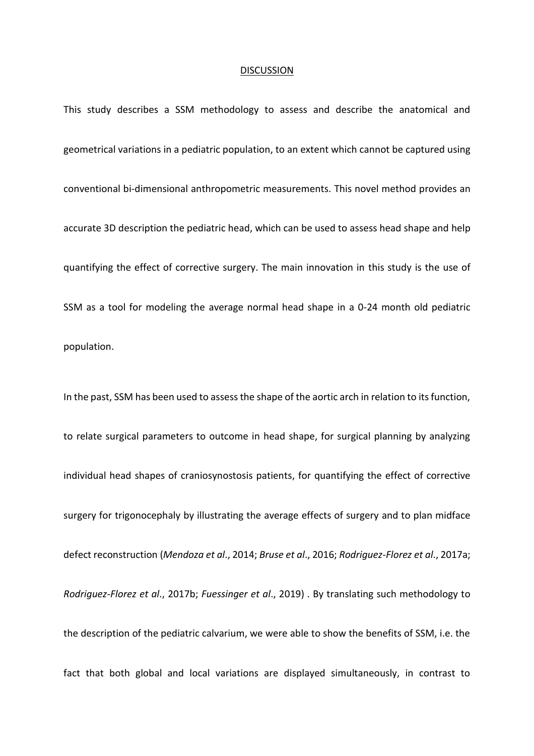#### **DISCUSSION**

This study describes a SSM methodology to assess and describe the anatomical and geometrical variations in a pediatric population, to an extent which cannot be captured using conventional bi-dimensional anthropometric measurements. This novel method provides an accurate 3D description the pediatric head, which can be used to assess head shape and help quantifying the effect of corrective surgery. The main innovation in this study is the use of SSM as a tool for modeling the average normal head shape in a 0-24 month old pediatric population.

In the past, SSM has been used to assess the shape of the aortic arch in relation to its function, to relate surgical parameters to outcome in head shape, for surgical planning by analyzing individual head shapes of craniosynostosis patients, for quantifying the effect of corrective surgery for trigonocephaly by illustrating the average effects of surgery and to plan midface defect reconstruction (*Mendoza et al*., 2014; *Bruse et al*., 2016; *Rodriguez-Florez et al*., 2017a; *Rodriguez-Florez et al*., 2017b; *Fuessinger et al*., 2019) . By translating such methodology to the description of the pediatric calvarium, we were able to show the benefits of SSM, i.e. the fact that both global and local variations are displayed simultaneously, in contrast to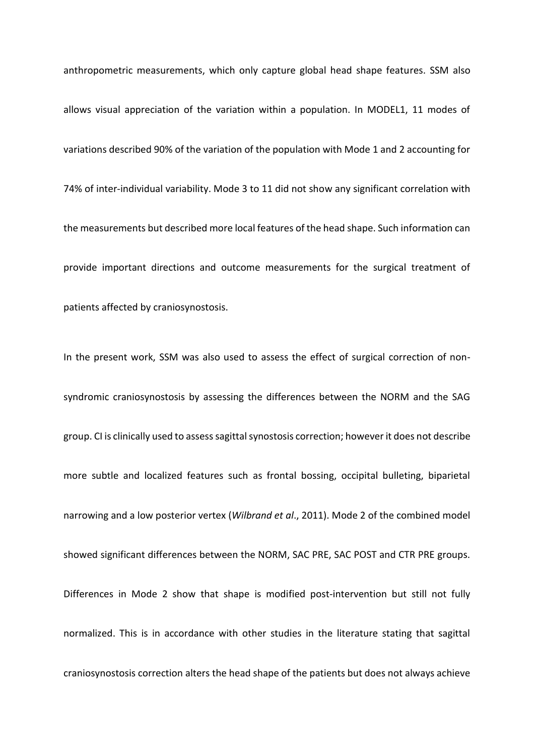anthropometric measurements, which only capture global head shape features. SSM also allows visual appreciation of the variation within a population. In MODEL1, 11 modes of variations described 90% of the variation of the population with Mode 1 and 2 accounting for 74% of inter-individual variability. Mode 3 to 11 did not show any significant correlation with the measurements but described more local features of the head shape. Such information can provide important directions and outcome measurements for the surgical treatment of patients affected by craniosynostosis.

In the present work, SSM was also used to assess the effect of surgical correction of nonsyndromic craniosynostosis by assessing the differences between the NORM and the SAG group. CI is clinically used to assess sagittal synostosis correction; however it does not describe more subtle and localized features such as frontal bossing, occipital bulleting, biparietal narrowing and a low posterior vertex (*Wilbrand et al*., 2011). Mode 2 of the combined model showed significant differences between the NORM, SAC PRE, SAC POST and CTR PRE groups. Differences in Mode 2 show that shape is modified post-intervention but still not fully normalized. This is in accordance with other studies in the literature stating that sagittal craniosynostosis correction alters the head shape of the patients but does not always achieve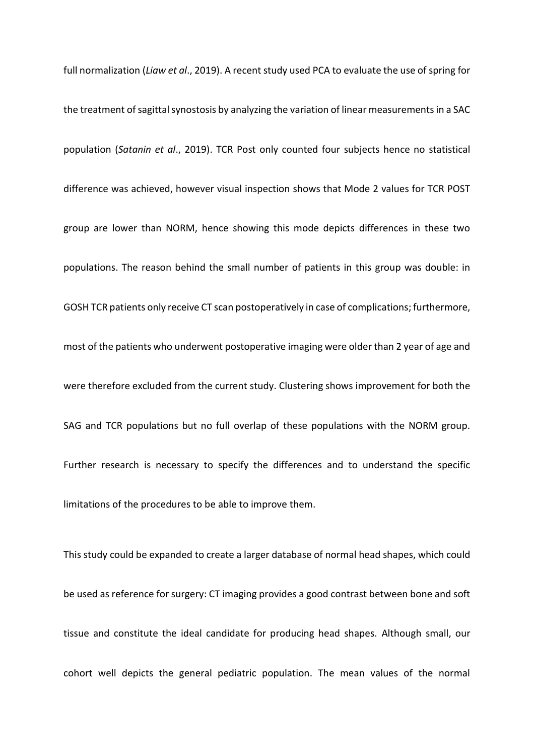full normalization (*Liaw et al*., 2019). A recent study used PCA to evaluate the use of spring for the treatment of sagittal synostosis by analyzing the variation of linear measurements in a SAC population (*Satanin et al*., 2019). TCR Post only counted four subjects hence no statistical difference was achieved, however visual inspection shows that Mode 2 values for TCR POST group are lower than NORM, hence showing this mode depicts differences in these two populations. The reason behind the small number of patients in this group was double: in GOSH TCR patients only receive CT scan postoperatively in case of complications; furthermore, most of the patients who underwent postoperative imaging were older than 2 year of age and were therefore excluded from the current study. Clustering shows improvement for both the SAG and TCR populations but no full overlap of these populations with the NORM group. Further research is necessary to specify the differences and to understand the specific limitations of the procedures to be able to improve them.

This study could be expanded to create a larger database of normal head shapes, which could be used as reference for surgery: CT imaging provides a good contrast between bone and soft tissue and constitute the ideal candidate for producing head shapes. Although small, our cohort well depicts the general pediatric population. The mean values of the normal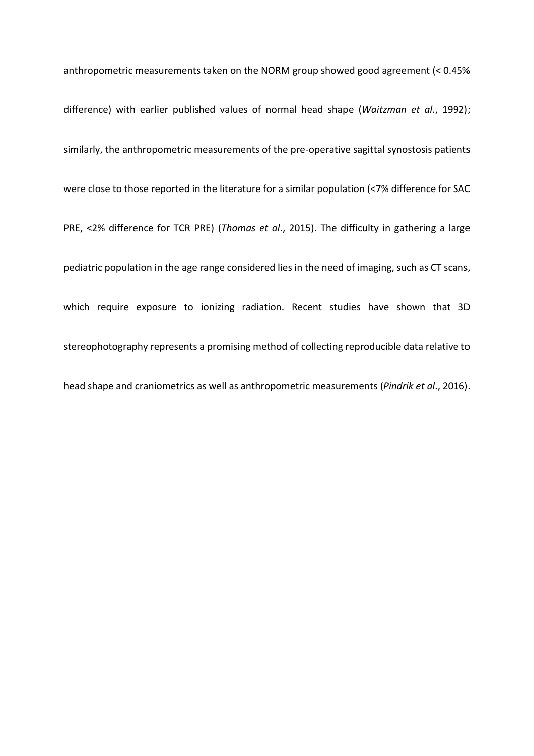anthropometric measurements taken on the NORM group showed good agreement (< 0.45% difference) with earlier published values of normal head shape (*Waitzman et al*., 1992); similarly, the anthropometric measurements of the pre-operative sagittal synostosis patients were close to those reported in the literature for a similar population (<7% difference for SAC PRE, <2% difference for TCR PRE) (*Thomas et al*., 2015). The difficulty in gathering a large pediatric population in the age range considered lies in the need of imaging, such as CT scans, which require exposure to ionizing radiation. Recent studies have shown that 3D stereophotography represents a promising method of collecting reproducible data relative to head shape and craniometrics as well as anthropometric measurements (*Pindrik et al*., 2016).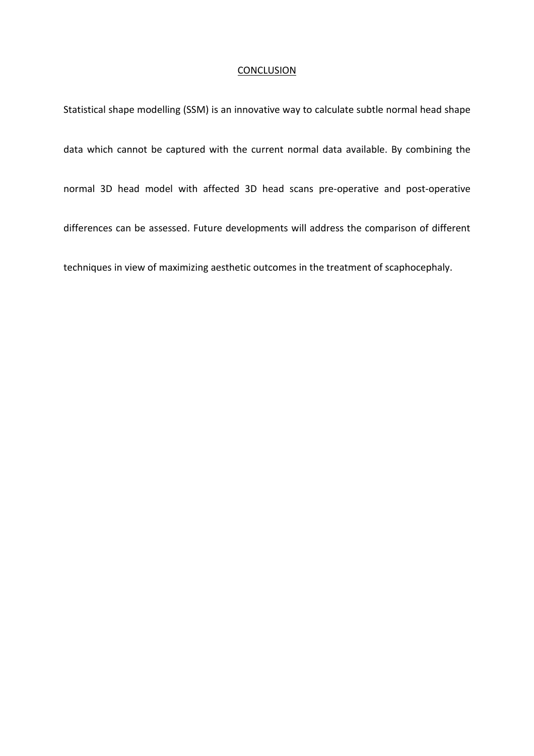#### **CONCLUSION**

Statistical shape modelling (SSM) is an innovative way to calculate subtle normal head shape data which cannot be captured with the current normal data available. By combining the normal 3D head model with affected 3D head scans pre-operative and post-operative differences can be assessed. Future developments will address the comparison of different techniques in view of maximizing aesthetic outcomes in the treatment of scaphocephaly.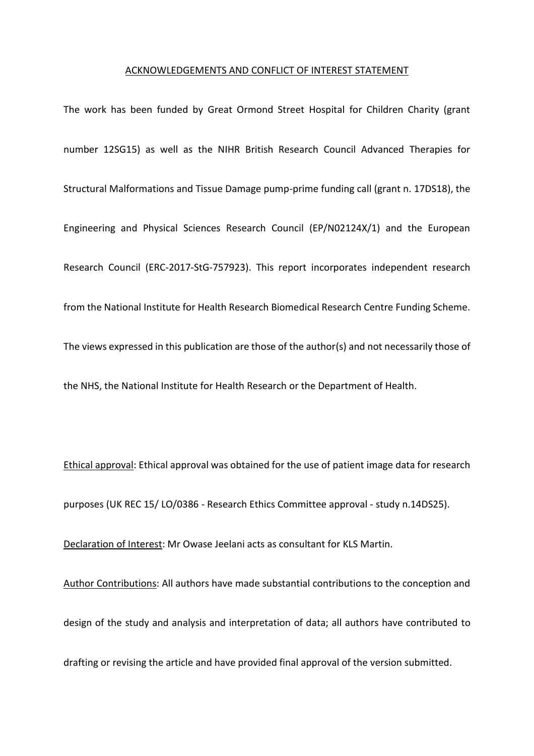#### ACKNOWLEDGEMENTS AND CONFLICT OF INTEREST STATEMENT

The work has been funded by Great Ormond Street Hospital for Children Charity (grant number 12SG15) as well as the NIHR British Research Council Advanced Therapies for Structural Malformations and Tissue Damage pump-prime funding call (grant n. 17DS18), the Engineering and Physical Sciences Research Council (EP/N02124X/1) and the European Research Council (ERC-2017-StG-757923). This report incorporates independent research from the National Institute for Health Research Biomedical Research Centre Funding Scheme. The views expressed in this publication are those of the author(s) and not necessarily those of the NHS, the National Institute for Health Research or the Department of Health.

Ethical approval: Ethical approval was obtained for the use of patient image data for research purposes (UK REC 15/ LO/0386 - Research Ethics Committee approval - study n.14DS25).

Declaration of Interest: Mr Owase Jeelani acts as consultant for KLS Martin.

Author Contributions: All authors have made substantial contributions to the conception and design of the study and analysis and interpretation of data; all authors have contributed to drafting or revising the article and have provided final approval of the version submitted.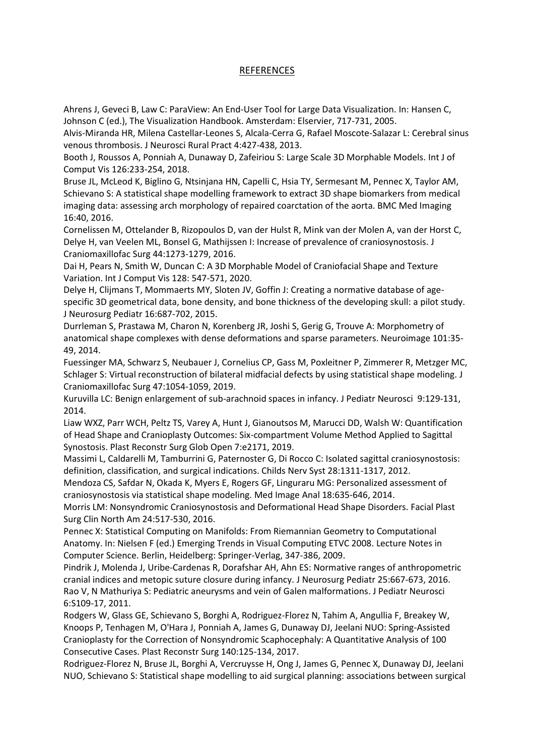# REFERENCES

Ahrens J, Geveci B, Law C: ParaView: An End-User Tool for Large Data Visualization. In: Hansen C, Johnson C (ed.), The Visualization Handbook. Amsterdam: Elservier, 717-731, 2005.

Alvis-Miranda HR, Milena Castellar-Leones S, Alcala-Cerra G, Rafael Moscote-Salazar L: Cerebral sinus venous thrombosis. J Neurosci Rural Pract 4:427-438, 2013.

Booth J, Roussos A, Ponniah A, Dunaway D, Zafeiriou S: Large Scale 3D Morphable Models. Int J of Comput Vis 126:233-254, 2018.

Bruse JL, McLeod K, Biglino G, Ntsinjana HN, Capelli C, Hsia TY, Sermesant M, Pennec X, Taylor AM, Schievano S: A statistical shape modelling framework to extract 3D shape biomarkers from medical imaging data: assessing arch morphology of repaired coarctation of the aorta. BMC Med Imaging 16:40, 2016.

Cornelissen M, Ottelander B, Rizopoulos D, van der Hulst R, Mink van der Molen A, van der Horst C, Delye H, van Veelen ML, Bonsel G, Mathijssen I: Increase of prevalence of craniosynostosis. J Craniomaxillofac Surg 44:1273-1279, 2016.

Dai H, Pears N, Smith W, Duncan C: A 3D Morphable Model of Craniofacial Shape and Texture Variation. Int J Comput Vis 128: 547-571, 2020.

Delye H, Clijmans T, Mommaerts MY, Sloten JV, Goffin J: Creating a normative database of agespecific 3D geometrical data, bone density, and bone thickness of the developing skull: a pilot study. J Neurosurg Pediatr 16:687-702, 2015.

Durrleman S, Prastawa M, Charon N, Korenberg JR, Joshi S, Gerig G, Trouve A: Morphometry of anatomical shape complexes with dense deformations and sparse parameters. Neuroimage 101:35- 49, 2014.

Fuessinger MA, Schwarz S, Neubauer J, Cornelius CP, Gass M, Poxleitner P, Zimmerer R, Metzger MC, Schlager S: Virtual reconstruction of bilateral midfacial defects by using statistical shape modeling. J Craniomaxillofac Surg 47:1054-1059, 2019.

Kuruvilla LC: Benign enlargement of sub-arachnoid spaces in infancy. J Pediatr Neurosci 9:129-131, 2014.

Liaw WXZ, Parr WCH, Peltz TS, Varey A, Hunt J, Gianoutsos M, Marucci DD, Walsh W: Quantification of Head Shape and Cranioplasty Outcomes: Six-compartment Volume Method Applied to Sagittal Synostosis. Plast Reconstr Surg Glob Open 7:e2171, 2019.

Massimi L, Caldarelli M, Tamburrini G, Paternoster G, Di Rocco C: Isolated sagittal craniosynostosis: definition, classification, and surgical indications. Childs Nerv Syst 28:1311-1317, 2012.

Mendoza CS, Safdar N, Okada K, Myers E, Rogers GF, Linguraru MG: Personalized assessment of craniosynostosis via statistical shape modeling. Med Image Anal 18:635-646, 2014.

Morris LM: Nonsyndromic Craniosynostosis and Deformational Head Shape Disorders. Facial Plast Surg Clin North Am 24:517-530, 2016.

Pennec X: Statistical Computing on Manifolds: From Riemannian Geometry to Computational Anatomy. In: Nielsen F (ed.) Emerging Trends in Visual Computing ETVC 2008. Lecture Notes in Computer Science. Berlin, Heidelberg: Springer-Verlag, 347-386, 2009.

Pindrik J, Molenda J, Uribe-Cardenas R, Dorafshar AH, Ahn ES: Normative ranges of anthropometric cranial indices and metopic suture closure during infancy. J Neurosurg Pediatr 25:667-673, 2016. Rao V, N Mathuriya S: Pediatric aneurysms and vein of Galen malformations. J Pediatr Neurosci 6:S109-17, 2011.

Rodgers W, Glass GE, Schievano S, Borghi A, Rodriguez-Florez N, Tahim A, Angullia F, Breakey W, Knoops P, Tenhagen M, O'Hara J, Ponniah A, James G, Dunaway DJ, Jeelani NUO: Spring-Assisted Cranioplasty for the Correction of Nonsyndromic Scaphocephaly: A Quantitative Analysis of 100 Consecutive Cases. Plast Reconstr Surg 140:125-134, 2017.

Rodriguez-Florez N, Bruse JL, Borghi A, Vercruysse H, Ong J, James G, Pennec X, Dunaway DJ, Jeelani NUO, Schievano S: Statistical shape modelling to aid surgical planning: associations between surgical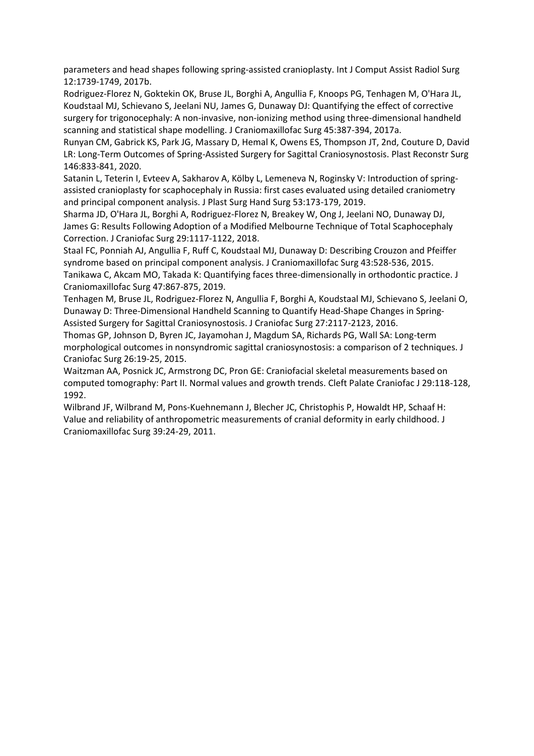parameters and head shapes following spring-assisted cranioplasty. Int J Comput Assist Radiol Surg 12:1739-1749, 2017b.

Rodriguez-Florez N, Goktekin OK, Bruse JL, Borghi A, Angullia F, Knoops PG, Tenhagen M, O'Hara JL, Koudstaal MJ, Schievano S, Jeelani NU, James G, Dunaway DJ: Quantifying the effect of corrective surgery for trigonocephaly: A non-invasive, non-ionizing method using three-dimensional handheld scanning and statistical shape modelling. J Craniomaxillofac Surg 45:387-394, 2017a.

Runyan CM, Gabrick KS, Park JG, Massary D, Hemal K, Owens ES, Thompson JT, 2nd, Couture D, David LR: Long-Term Outcomes of Spring-Assisted Surgery for Sagittal Craniosynostosis. Plast Reconstr Surg 146:833-841, 2020.

Satanin L, Teterin I, Evteev A, Sakharov A, Kölby L, Lemeneva N, Roginsky V: Introduction of springassisted cranioplasty for scaphocephaly in Russia: first cases evaluated using detailed craniometry and principal component analysis. J Plast Surg Hand Surg 53:173-179, 2019.

Sharma JD, O'Hara JL, Borghi A, Rodriguez-Florez N, Breakey W, Ong J, Jeelani NO, Dunaway DJ, James G: Results Following Adoption of a Modified Melbourne Technique of Total Scaphocephaly Correction. J Craniofac Surg 29:1117-1122, 2018.

Staal FC, Ponniah AJ, Angullia F, Ruff C, Koudstaal MJ, Dunaway D: Describing Crouzon and Pfeiffer syndrome based on principal component analysis. J Craniomaxillofac Surg 43:528-536, 2015.

Tanikawa C, Akcam MO, Takada K: Quantifying faces three-dimensionally in orthodontic practice. J Craniomaxillofac Surg 47:867-875, 2019.

Tenhagen M, Bruse JL, Rodriguez-Florez N, Angullia F, Borghi A, Koudstaal MJ, Schievano S, Jeelani O, Dunaway D: Three-Dimensional Handheld Scanning to Quantify Head-Shape Changes in Spring-Assisted Surgery for Sagittal Craniosynostosis. J Craniofac Surg 27:2117-2123, 2016.

Thomas GP, Johnson D, Byren JC, Jayamohan J, Magdum SA, Richards PG, Wall SA: Long-term morphological outcomes in nonsyndromic sagittal craniosynostosis: a comparison of 2 techniques. J Craniofac Surg 26:19-25, 2015.

Waitzman AA, Posnick JC, Armstrong DC, Pron GE: Craniofacial skeletal measurements based on computed tomography: Part II. Normal values and growth trends. Cleft Palate Craniofac J 29:118-128, 1992.

Wilbrand JF, Wilbrand M, Pons-Kuehnemann J, Blecher JC, Christophis P, Howaldt HP, Schaaf H: Value and reliability of anthropometric measurements of cranial deformity in early childhood. J Craniomaxillofac Surg 39:24-29, 2011.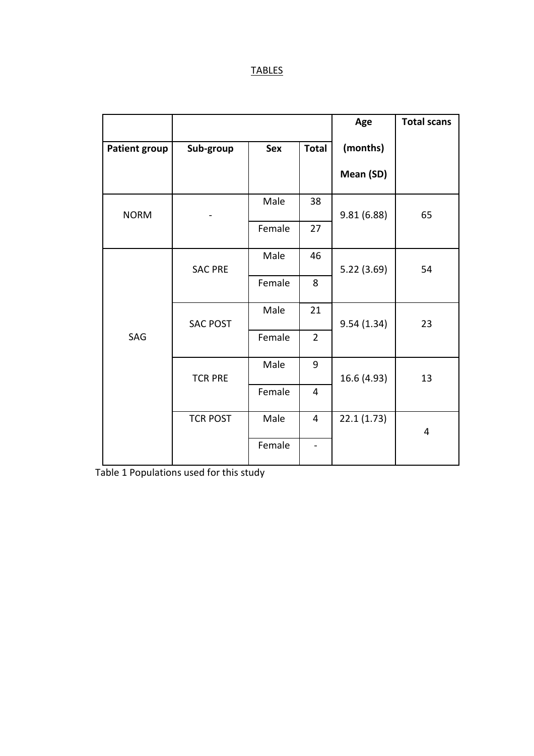|                      |                 |            |                | Age         | <b>Total scans</b> |
|----------------------|-----------------|------------|----------------|-------------|--------------------|
| <b>Patient group</b> | Sub-group       | <b>Sex</b> | <b>Total</b>   | (months)    |                    |
|                      |                 |            |                | Mean (SD)   |                    |
| <b>NORM</b>          |                 | Male       | 38             | 9.81(6.88)  | 65                 |
|                      |                 | Female     | 27             |             |                    |
| SAG                  | <b>SAC PRE</b>  | Male       | 46             | 5.22(3.69)  | 54                 |
|                      |                 | Female     | 8              |             |                    |
|                      | <b>SAC POST</b> | Male       | 21             | 9.54(1.34)  | 23                 |
|                      |                 | Female     | $\overline{2}$ |             |                    |
|                      | <b>TCR PRE</b>  | Male       | 9              | 16.6 (4.93) | 13                 |
|                      |                 | Female     | $\overline{4}$ |             |                    |
|                      | <b>TCR POST</b> | Male       | 4              | 22.1(1.73)  | 4                  |
|                      |                 | Female     |                |             |                    |

Table 1 Populations used for this study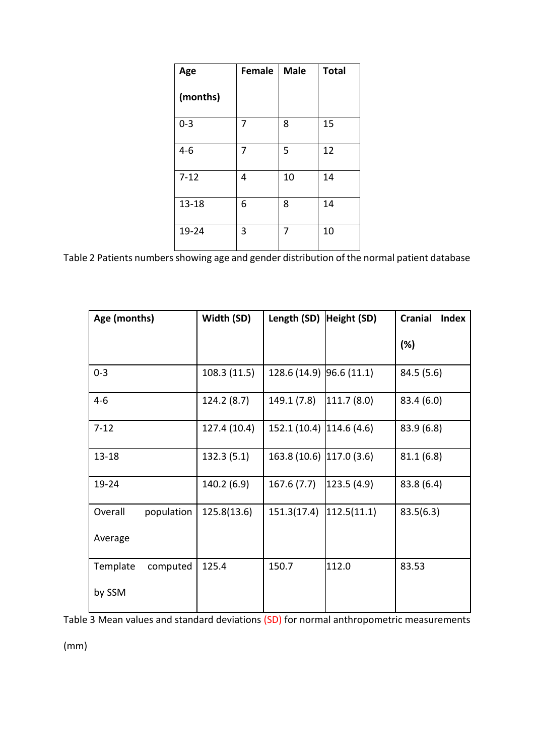| Age       | <b>Female</b> | <b>Male</b> | <b>Total</b> |
|-----------|---------------|-------------|--------------|
| (months)  |               |             |              |
| $0 - 3$   | 7             | 8           | 15           |
| $4 - 6$   | 7             | 5           | 12           |
| $7 - 12$  | 4             | 10          | 14           |
| $13 - 18$ | 6             | 8           | 14           |
| 19-24     | 3             | 7           | 10           |

Table 2 Patients numbers showing age and gender distribution of the normal patient database

| Age (months)          | Width (SD)   | Length (SD)              | Height (SD) | <b>Cranial</b><br><b>Index</b> |
|-----------------------|--------------|--------------------------|-------------|--------------------------------|
|                       |              |                          |             | (%)                            |
| $0 - 3$               | 108.3 (11.5) | 128.6 (14.9) 96.6 (11.1) |             | 84.5 (5.6)                     |
| $4 - 6$               | 124.2 (8.7)  | 149.1 (7.8)              | 111.7(8.0)  | 83.4(6.0)                      |
| $7 - 12$              | 127.4 (10.4) | 152.1 (10.4) 114.6 (4.6) |             | 83.9(6.8)                      |
| $13 - 18$             | 132.3(5.1)   | 163.8 (10.6) 117.0 (3.6) |             | 81.1(6.8)                      |
| 19-24                 | 140.2 (6.9)  | 167.6(7.7)               | 123.5(4.9)  | 83.8(6.4)                      |
| Overall<br>population | 125.8(13.6)  | 151.3(17.4)              | 112.5(11.1) | 83.5(6.3)                      |
| Average               |              |                          |             |                                |
| Template<br>computed  | 125.4        | 150.7                    | 112.0       | 83.53                          |
| by SSM                |              |                          |             |                                |

Table 3 Mean values and standard deviations (SD) for normal anthropometric measurements

(mm)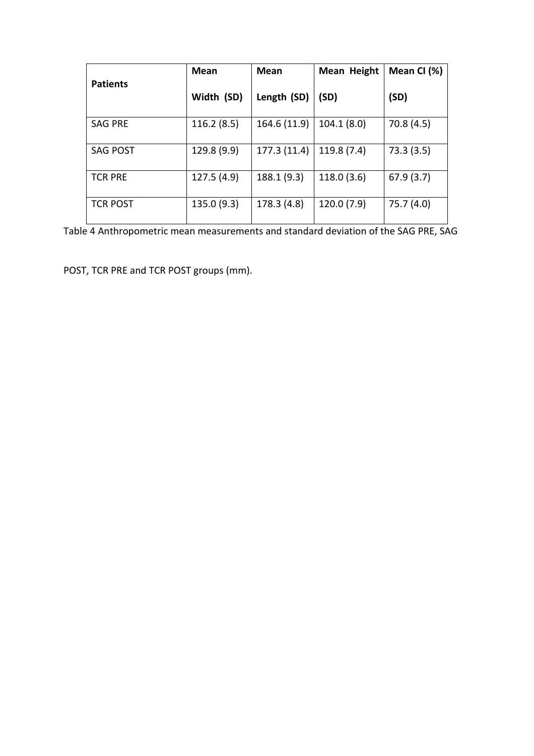|                 | Mean        | <b>Mean</b>  | Mean Height | Mean CI (%) |
|-----------------|-------------|--------------|-------------|-------------|
| <b>Patients</b> | Width (SD)  | Length (SD)  | (SD)        | (SD)        |
| <b>SAG PRE</b>  | 116.2(8.5)  | 164.6 (11.9) | 104.1(8.0)  | 70.8(4.5)   |
| <b>SAG POST</b> | 129.8 (9.9) | 177.3 (11.4) | 119.8(7.4)  | 73.3(3.5)   |
| <b>TCR PRE</b>  | 127.5 (4.9) | 188.1 (9.3)  | 118.0(3.6)  | 67.9(3.7)   |
| <b>TCR POST</b> | 135.0 (9.3) | 178.3 (4.8)  | 120.0(7.9)  | 75.7 (4.0)  |

Table 4 Anthropometric mean measurements and standard deviation of the SAG PRE, SAG

POST, TCR PRE and TCR POST groups (mm).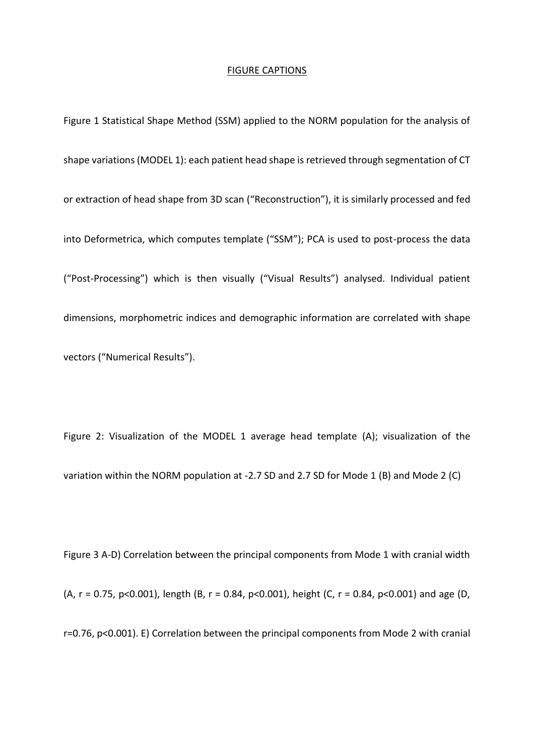#### FIGURE CAPTIONS

Figure 1 Statistical Shape Method (SSM) applied to the NORM population for the analysis of shape variations (MODEL 1): each patient head shape is retrieved through segmentation of CT or extraction of head shape from 3D scan ("Reconstruction"), it is similarly processed and fed into Deformetrica, which computes template ("SSM"); PCA is used to post-process the data ("Post-Processing") which is then visually ("Visual Results") analysed. Individual patient dimensions, morphometric indices and demographic information are correlated with shape vectors ("Numerical Results").

Figure 2: Visualization of the MODEL 1 average head template (A); visualization of the variation within the NORM population at -2.7 SD and 2.7 SD for Mode 1 (B) and Mode 2 (C)

Figure 3 A-D) Correlation between the principal components from Mode 1 with cranial width (A, r = 0.75, p<0.001), length (B, r = 0.84, p<0.001), height (C, r = 0.84, p<0.001) and age (D, r=0.76, p<0.001). E) Correlation between the principal components from Mode 2 with cranial